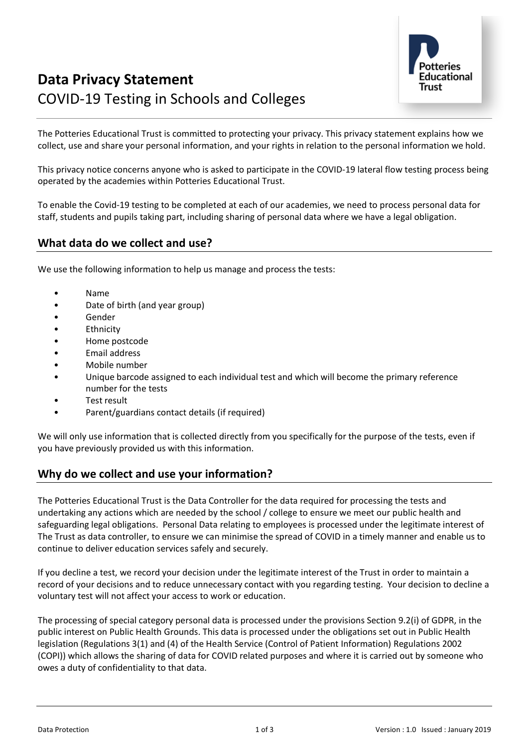

# **Data Privacy Statement** COVID-19 Testing in Schools and Colleges

The Potteries Educational Trust is committed to protecting your privacy. This privacy statement explains how we collect, use and share your personal information, and your rights in relation to the personal information we hold.

This privacy notice concerns anyone who is asked to participate in the COVID-19 lateral flow testing process being operated by the academies within Potteries Educational Trust.

To enable the Covid-19 testing to be completed at each of our academies, we need to process personal data for staff, students and pupils taking part, including sharing of personal data where we have a legal obligation.

# **What data do we collect and use?**

We use the following information to help us manage and process the tests:

- Name
- Date of birth (and year group)
- Gender
- **Ethnicity**
- Home postcode
- Email address
- Mobile number
- Unique barcode assigned to each individual test and which will become the primary reference number for the tests
- Test result
- Parent/guardians contact details (if required)

We will only use information that is collected directly from you specifically for the purpose of the tests, even if you have previously provided us with this information.

#### **Why do we collect and use your information?**

The Potteries Educational Trust is the Data Controller for the data required for processing the tests and undertaking any actions which are needed by the school / college to ensure we meet our public health and safeguarding legal obligations. Personal Data relating to employees is processed under the legitimate interest of The Trust as data controller, to ensure we can minimise the spread of COVID in a timely manner and enable us to continue to deliver education services safely and securely.

If you decline a test, we record your decision under the legitimate interest of the Trust in order to maintain a record of your decisions and to reduce unnecessary contact with you regarding testing. Your decision to decline a voluntary test will not affect your access to work or education.

The processing of special category personal data is processed under the provisions Section 9.2(i) of GDPR, in the public interest on Public Health Grounds. This data is processed under the obligations set out in Public Health legislation (Regulations 3(1) and (4) of the Health Service (Control of Patient Information) Regulations 2002 (COPI)) which allows the sharing of data for COVID related purposes and where it is carried out by someone who owes a duty of confidentiality to that data.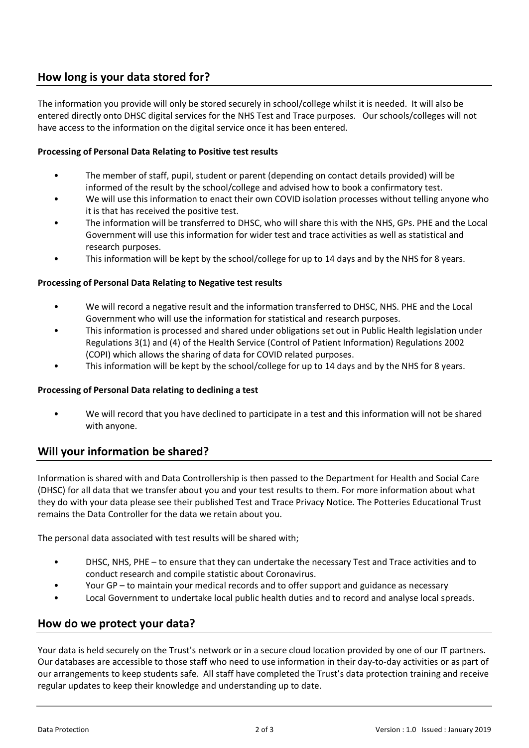# **How long is your data stored for?**

The information you provide will only be stored securely in school/college whilst it is needed. It will also be entered directly onto DHSC digital services for the NHS Test and Trace purposes. Our schools/colleges will not have access to the information on the digital service once it has been entered.

#### **Processing of Personal Data Relating to Positive test results**

- The member of staff, pupil, student or parent (depending on contact details provided) will be informed of the result by the school/college and advised how to book a confirmatory test.
- We will use this information to enact their own COVID isolation processes without telling anyone who it is that has received the positive test.
- The information will be transferred to DHSC, who will share this with the NHS, GPs. PHE and the Local Government will use this information for wider test and trace activities as well as statistical and research purposes.
- This information will be kept by the school/college for up to 14 days and by the NHS for 8 years.

#### **Processing of Personal Data Relating to Negative test results**

- We will record a negative result and the information transferred to DHSC, NHS. PHE and the Local Government who will use the information for statistical and research purposes.
- This information is processed and shared under obligations set out in Public Health legislation under Regulations 3(1) and (4) of the Health Service (Control of Patient Information) Regulations 2002 (COPI) which allows the sharing of data for COVID related purposes.
- This information will be kept by the school/college for up to 14 days and by the NHS for 8 years.

#### **Processing of Personal Data relating to declining a test**

• We will record that you have declined to participate in a test and this information will not be shared with anyone.

# **Will your information be shared?**

Information is shared with and Data Controllership is then passed to the Department for Health and Social Care (DHSC) for all data that we transfer about you and your test results to them. For more information about what they do with your data please see their published Test and Trace Privacy Notice. The Potteries Educational Trust remains the Data Controller for the data we retain about you.

The personal data associated with test results will be shared with;

- DHSC, NHS, PHE to ensure that they can undertake the necessary Test and Trace activities and to conduct research and compile statistic about Coronavirus.
- Your GP to maintain your medical records and to offer support and guidance as necessary
- Local Government to undertake local public health duties and to record and analyse local spreads.

# **How do we protect your data?**

Your data is held securely on the Trust's network or in a secure cloud location provided by one of our IT partners. Our databases are accessible to those staff who need to use information in their day-to-day activities or as part of our arrangements to keep students safe. All staff have completed the Trust's data protection training and receive regular updates to keep their knowledge and understanding up to date.